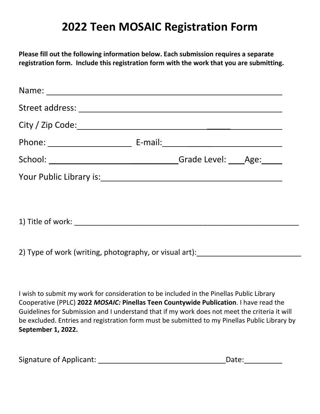## **2022 Teen MOSAIC Registration Form**

**Please fill out the following information below. Each submission requires a separate registration form. Include this registration form with the work that you are submitting.**

|                   | Grade Level: Age: |  |
|-------------------|-------------------|--|
|                   |                   |  |
|                   |                   |  |
| 1) Title of work: |                   |  |

2) Type of work (writing, photography, or visual art):

I wish to submit my work for consideration to be included in the Pinellas Public Library Cooperative (PPLC) **2022** *MOSAIC:* **Pinellas Teen Countywide Publication**. I have read the Guidelines for Submission and I understand that if my work does not meet the criteria it will be excluded. Entries and registration form must be submitted to my Pinellas Public Library by **September 1, 2022.**

| <b>Signature of Applicant:</b> | Date: |
|--------------------------------|-------|
|--------------------------------|-------|